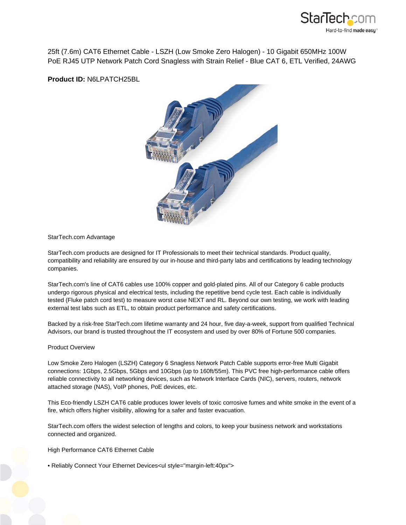

25ft (7.6m) CAT6 Ethernet Cable - LSZH (Low Smoke Zero Halogen) - 10 Gigabit 650MHz 100W PoE RJ45 UTP Network Patch Cord Snagless with Strain Relief - Blue CAT 6, ETL Verified, 24AWG

**Product ID:** N6LPATCH25BL



### StarTech.com Advantage

StarTech.com products are designed for IT Professionals to meet their technical standards. Product quality, compatibility and reliability are ensured by our in-house and third-party labs and certifications by leading technology companies.

StarTech.com's line of CAT6 cables use 100% copper and gold-plated pins. All of our Category 6 cable products undergo rigorous physical and electrical tests, including the repetitive bend cycle test. Each cable is individually tested (Fluke patch cord test) to measure worst case NEXT and RL. Beyond our own testing, we work with leading external test labs such as ETL, to obtain product performance and safety certifications.

Backed by a risk-free StarTech.com lifetime warranty and 24 hour, five day-a-week, support from qualified Technical Advisors, our brand is trusted throughout the IT ecosystem and used by over 80% of Fortune 500 companies.

#### Product Overview

Low Smoke Zero Halogen (LSZH) Category 6 Snagless Network Patch Cable supports error-free Multi Gigabit connections: 1Gbps, 2.5Gbps, 5Gbps and 10Gbps (up to 160ft/55m). This PVC free high-performance cable offers reliable connectivity to all networking devices, such as Network Interface Cards (NIC), servers, routers, network attached storage (NAS), VoIP phones, PoE devices, etc.

This Eco-friendly LSZH CAT6 cable produces lower levels of toxic corrosive fumes and white smoke in the event of a fire, which offers higher visibility, allowing for a safer and faster evacuation.

StarTech.com offers the widest selection of lengths and colors, to keep your business network and workstations connected and organized.

High Performance CAT6 Ethernet Cable

• Reliably Connect Your Ethernet Devices<ul style="margin-left:40px">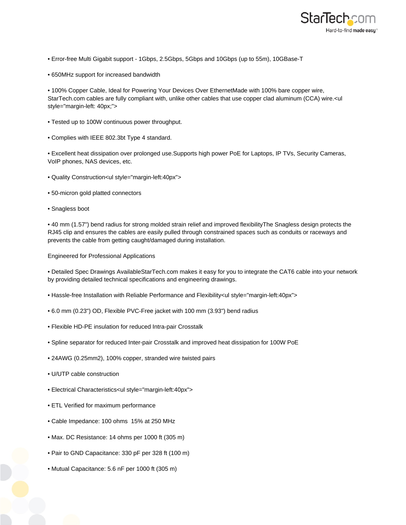

- Error-free Multi Gigabit support 1Gbps, 2.5Gbps, 5Gbps and 10Gbps (up to 55m), 10GBase-T
- 650MHz support for increased bandwidth

• 100% Copper Cable, Ideal for Powering Your Devices Over EthernetMade with 100% bare copper wire, StarTech.com cables are fully compliant with, unlike other cables that use copper clad aluminum (CCA) wire.<ul style="margin-left: 40px;">

- Tested up to 100W continuous power throughput.
- Complies with IEEE 802.3bt Type 4 standard.

• Excellent heat dissipation over prolonged use.Supports high power PoE for Laptops, IP TVs, Security Cameras, VoIP phones, NAS devices, etc.

- Quality Construction<ul style="margin-left:40px">
- 50-micron gold platted connectors
- Snagless boot

• 40 mm (1.57") bend radius for strong molded strain relief and improved flexibilityThe Snagless design protects the RJ45 clip and ensures the cables are easily pulled through constrained spaces such as conduits or raceways and prevents the cable from getting caught/damaged during installation.

Engineered for Professional Applications

• Detailed Spec Drawings AvailableStarTech.com makes it easy for you to integrate the CAT6 cable into your network by providing detailed technical specifications and engineering drawings.

- Hassle-free Installation with Reliable Performance and Flexibility<ul style="margin-left:40px">
- 6.0 mm (0.23") OD, Flexible PVC-Free jacket with 100 mm (3.93") bend radius
- Flexible HD-PE insulation for reduced Intra-pair Crosstalk
- Spline separator for reduced Inter-pair Crosstalk and improved heat dissipation for 100W PoE
- 24AWG (0.25mm2), 100% copper, stranded wire twisted pairs
- U/UTP cable construction
- Electrical Characteristics<ul style="margin-left:40px">
- ETL Verified for maximum performance
- Cable Impedance: 100 ohms 15% at 250 MHz
- Max. DC Resistance: 14 ohms per 1000 ft (305 m)
- Pair to GND Capacitance: 330 pF per 328 ft (100 m)
- Mutual Capacitance: 5.6 nF per 1000 ft (305 m)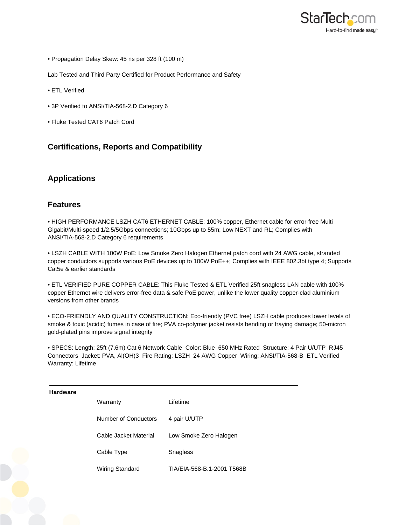

• Propagation Delay Skew: 45 ns per 328 ft (100 m)

Lab Tested and Third Party Certified for Product Performance and Safety

- ETL Verified
- 3P Verified to ANSI/TIA-568-2.D Category 6
- Fluke Tested CAT6 Patch Cord

# **Certifications, Reports and Compatibility**

## **Applications**

## **Features**

• HIGH PERFORMANCE LSZH CAT6 ETHERNET CABLE: 100% copper, Ethernet cable for error-free Multi Gigabit/Multi-speed 1/2.5/5Gbps connections; 10Gbps up to 55m; Low NEXT and RL; Complies with ANSI/TIA-568-2.D Category 6 requirements

• LSZH CABLE WITH 100W PoE: Low Smoke Zero Halogen Ethernet patch cord with 24 AWG cable, stranded copper conductors supports various PoE devices up to 100W PoE++; Complies with IEEE 802.3bt type 4; Supports Cat5e & earlier standards

• ETL VERIFIED PURE COPPER CABLE: This Fluke Tested & ETL Verified 25ft snagless LAN cable with 100% copper Ethernet wire delivers error-free data & safe PoE power, unlike the lower quality copper-clad aluminium versions from other brands

• ECO-FRIENDLY AND QUALITY CONSTRUCTION: Eco-friendly (PVC free) LSZH cable produces lower levels of smoke & toxic (acidic) fumes in case of fire; PVA co-polymer jacket resists bending or fraying damage; 50-micron gold-plated pins improve signal integrity

• SPECS: Length: 25ft (7.6m) Cat 6 Network Cable Color: Blue 650 MHz Rated Structure: 4 Pair U/UTP RJ45 Connectors Jacket: PVA, Al(OH)3 Fire Rating: LSZH 24 AWG Copper Wiring: ANSI/TIA-568-B ETL Verified Warranty: Lifetime

#### **Hardware**

| Warranty              | Lifetime                   |
|-----------------------|----------------------------|
| Number of Conductors  | 4 pair U/UTP               |
| Cable Jacket Material | Low Smoke Zero Halogen     |
| Cable Type            | Snagless                   |
| Wiring Standard       | TIA/EIA-568-B.1-2001 T568B |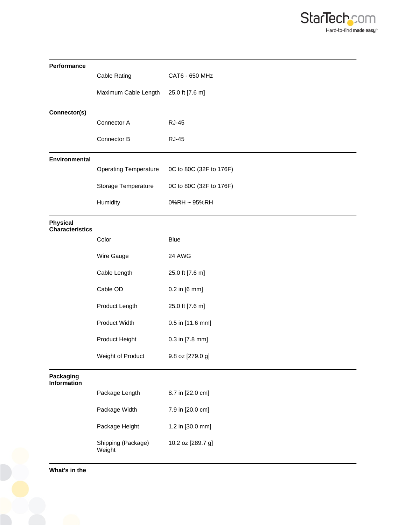

| Performance                               |                              |                         |
|-------------------------------------------|------------------------------|-------------------------|
|                                           | <b>Cable Rating</b>          | CAT6 - 650 MHz          |
|                                           | Maximum Cable Length         | 25.0 ft [7.6 m]         |
| Connector(s)                              |                              |                         |
|                                           | Connector A                  | <b>RJ-45</b>            |
|                                           | Connector B                  | <b>RJ-45</b>            |
| Environmental                             |                              |                         |
|                                           | <b>Operating Temperature</b> | 0C to 80C (32F to 176F) |
|                                           | Storage Temperature          | 0C to 80C (32F to 176F) |
|                                           | Humidity                     | 0%RH ~ 95%RH            |
| <b>Physical</b><br><b>Characteristics</b> |                              |                         |
|                                           | Color                        | <b>Blue</b>             |
|                                           | Wire Gauge                   | 24 AWG                  |
|                                           | Cable Length                 | 25.0 ft [7.6 m]         |
|                                           | Cable OD                     | 0.2 in [6 mm]           |
|                                           | Product Length               | 25.0 ft [7.6 m]         |
|                                           | <b>Product Width</b>         | 0.5 in [11.6 mm]        |
|                                           | Product Height               | 0.3 in [7.8 mm]         |
|                                           | Weight of Product            | 9.8 oz [279.0 g]        |
| Packaging<br><b>Information</b>           |                              |                         |
|                                           | Package Length               | 8.7 in [22.0 cm]        |
|                                           | Package Width                | 7.9 in [20.0 cm]        |
|                                           | Package Height               | 1.2 in [30.0 mm]        |
|                                           | Shipping (Package)<br>Weight | 10.2 oz [289.7 g]       |

**What's in the**